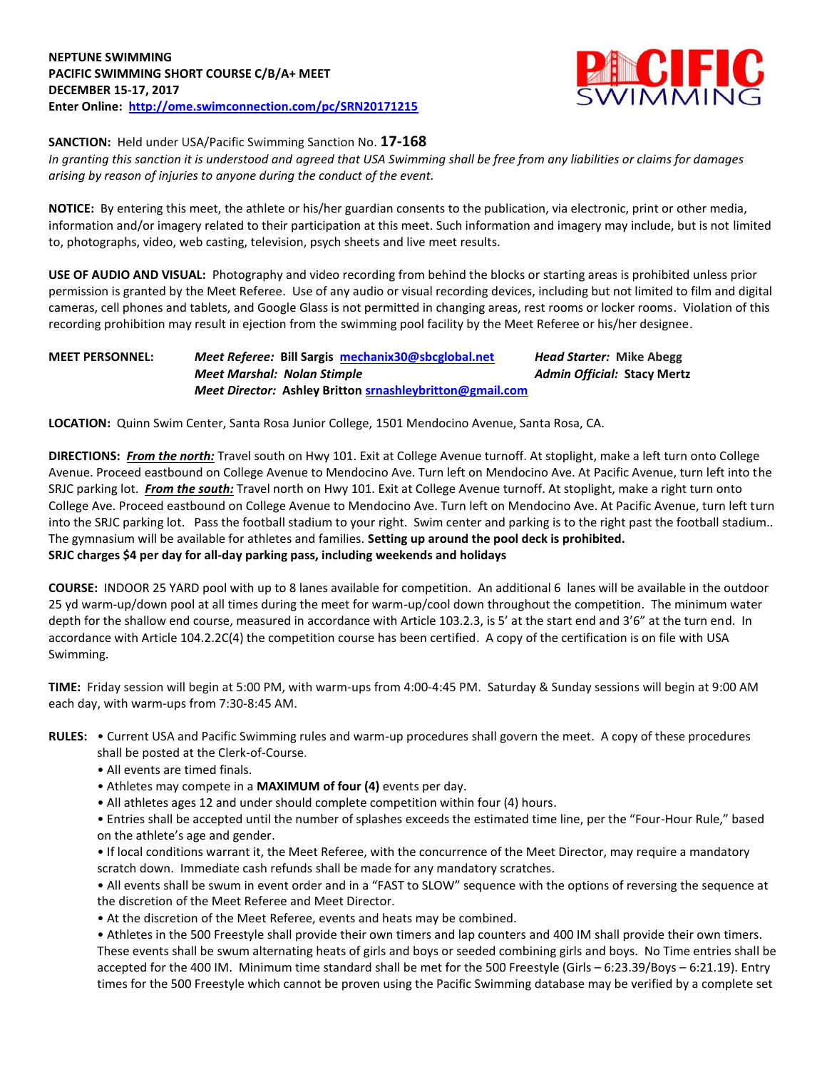

**SANCTION:** Held under USA/Pacific Swimming Sanction No. **17-168**

*In granting this sanction it is understood and agreed that USA Swimming shall be free from any liabilities or claims for damages arising by reason of injuries to anyone during the conduct of the event.*

**NOTICE:** By entering this meet, the athlete or his/her guardian consents to the publication, via electronic, print or other media, information and/or imagery related to their participation at this meet. Such information and imagery may include, but is not limited to, photographs, video, web casting, television, psych sheets and live meet results.

**USE OF AUDIO AND VISUAL:** Photography and video recording from behind the blocks or starting areas is prohibited unless prior permission is granted by the Meet Referee. Use of any audio or visual recording devices, including but not limited to film and digital cameras, cell phones and tablets, and Google Glass is not permitted in changing areas, rest rooms or locker rooms. Violation of this recording prohibition may result in ejection from the swimming pool facility by the Meet Referee or his/her designee.

## **MEET PERSONNEL:** *Meet Referee:* **Bill Sargis [mechanix30@sbcglobal.net](mailto:mechanix30@sbcglobal.net)** *Head Starter:* **Mike Abegg** *Meet Marshal: Nolan Stimple Admin Official:* **Stacy Mertz** *Meet Director:* **Ashley Britto[n srnashleybritton@gmail.com](mailto:srnashleybritton@gmail.com)**

**LOCATION:** Quinn Swim Center, Santa Rosa Junior College, 1501 Mendocino Avenue, Santa Rosa, CA.

**DIRECTIONS:** *From the north:* Travel south on Hwy 101. Exit at College Avenue turnoff. At stoplight, make a left turn onto College Avenue. Proceed eastbound on College Avenue to Mendocino Ave. Turn left on Mendocino Ave. At Pacific Avenue, turn left into the SRJC parking lot. *From the south:* Travel north on Hwy 101. Exit at College Avenue turnoff. At stoplight, make a right turn onto College Ave. Proceed eastbound on College Avenue to Mendocino Ave. Turn left on Mendocino Ave. At Pacific Avenue, turn left turn into the SRJC parking lot. Pass the football stadium to your right. Swim center and parking is to the right past the football stadium.. The gymnasium will be available for athletes and families. **Setting up around the pool deck is prohibited. SRJC charges \$4 per day for all-day parking pass, including weekends and holidays**

**COURSE:** INDOOR 25 YARD pool with up to 8 lanes available for competition. An additional 6 lanes will be available in the outdoor 25 yd warm-up/down pool at all times during the meet for warm-up/cool down throughout the competition. The minimum water depth for the shallow end course, measured in accordance with Article 103.2.3, is 5' at the start end and 3'6" at the turn end. In accordance with Article 104.2.2C(4) the competition course has been certified. A copy of the certification is on file with USA Swimming.

**TIME:** Friday session will begin at 5:00 PM, with warm-ups from 4:00-4:45 PM. Saturday & Sunday sessions will begin at 9:00 AM each day, with warm-ups from 7:30-8:45 AM.

- **RULES:** Current USA and Pacific Swimming rules and warm-up procedures shall govern the meet. A copy of these procedures
	- shall be posted at the Clerk-of-Course.
	- All events are timed finals.
	- Athletes may compete in a **MAXIMUM of four (4)** events per day.
	- All athletes ages 12 and under should complete competition within four (4) hours.

• Entries shall be accepted until the number of splashes exceeds the estimated time line, per the "Four-Hour Rule," based on the athlete's age and gender.

• If local conditions warrant it, the Meet Referee, with the concurrence of the Meet Director, may require a mandatory scratch down. Immediate cash refunds shall be made for any mandatory scratches.

• All events shall be swum in event order and in a "FAST to SLOW" sequence with the options of reversing the sequence at the discretion of the Meet Referee and Meet Director.

• At the discretion of the Meet Referee, events and heats may be combined.

• Athletes in the 500 Freestyle shall provide their own timers and lap counters and 400 IM shall provide their own timers. These events shall be swum alternating heats of girls and boys or seeded combining girls and boys. No Time entries shall be accepted for the 400 IM. Minimum time standard shall be met for the 500 Freestyle (Girls – 6:23.39/Boys – 6:21.19). Entry times for the 500 Freestyle which cannot be proven using the Pacific Swimming database may be verified by a complete set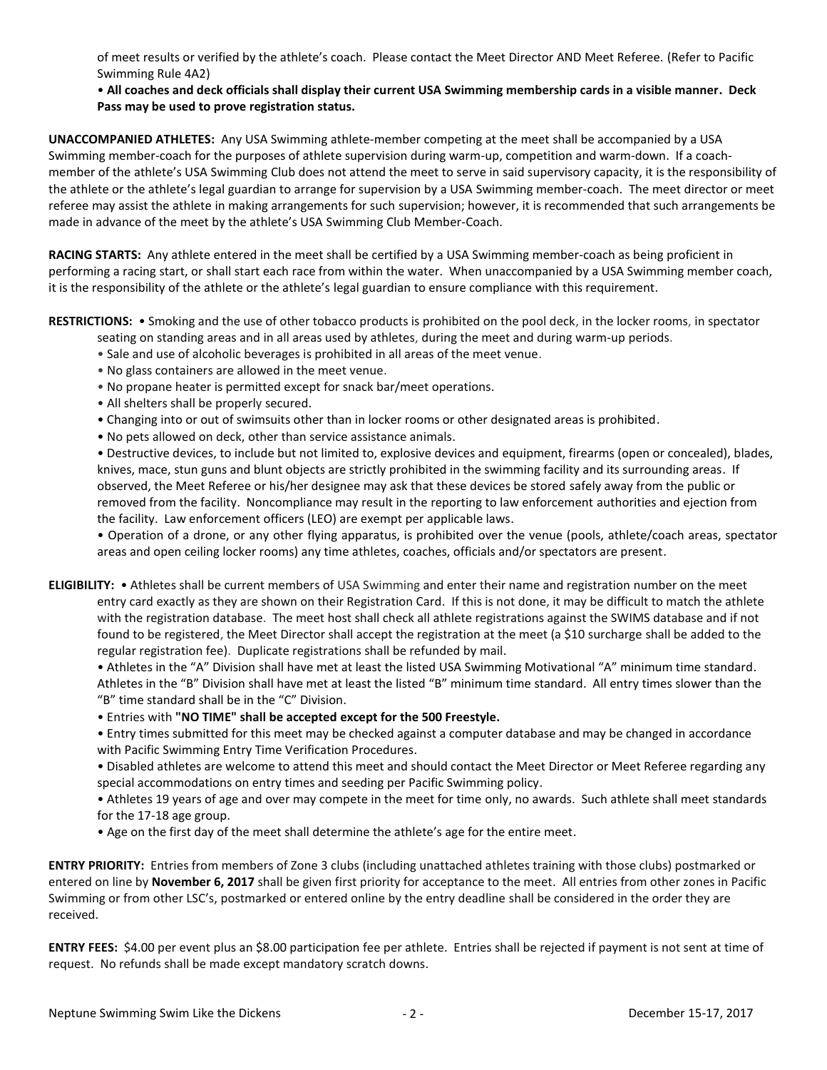of meet results or verified by the athlete's coach. Please contact the Meet Director AND Meet Referee. (Refer to Pacific Swimming Rule 4A2)

## • **All coaches and deck officials shall display their current USA Swimming membership cards in a visible manner. Deck Pass may be used to prove registration status.**

**UNACCOMPANIED ATHLETES:** Any USA Swimming athlete-member competing at the meet shall be accompanied by a USA Swimming member-coach for the purposes of athlete supervision during warm-up, competition and warm-down. If a coachmember of the athlete's USA Swimming Club does not attend the meet to serve in said supervisory capacity, it is the responsibility of the athlete or the athlete's legal guardian to arrange for supervision by a USA Swimming member-coach. The meet director or meet referee may assist the athlete in making arrangements for such supervision; however, it is recommended that such arrangements be made in advance of the meet by the athlete's USA Swimming Club Member-Coach.

**RACING STARTS:** Any athlete entered in the meet shall be certified by a USA Swimming member-coach as being proficient in performing a racing start, or shall start each race from within the water. When unaccompanied by a USA Swimming member coach, it is the responsibility of the athlete or the athlete's legal guardian to ensure compliance with this requirement.

**RESTRICTIONS:** • Smoking and the use of other tobacco products is prohibited on the pool deck, in the locker rooms, in spectator

seating on standing areas and in all areas used by athletes, during the meet and during warm-up periods.

- Sale and use of alcoholic beverages is prohibited in all areas of the meet venue.
- No glass containers are allowed in the meet venue.
- No propane heater is permitted except for snack bar/meet operations.
- All shelters shall be properly secured.
- Changing into or out of swimsuits other than in locker rooms or other designated areas is prohibited.
- No pets allowed on deck, other than service assistance animals.

• Destructive devices, to include but not limited to, explosive devices and equipment, firearms (open or concealed), blades, knives, mace, stun guns and blunt objects are strictly prohibited in the swimming facility and its surrounding areas. If observed, the Meet Referee or his/her designee may ask that these devices be stored safely away from the public or removed from the facility. Noncompliance may result in the reporting to law enforcement authorities and ejection from the facility. Law enforcement officers (LEO) are exempt per applicable laws.

• Operation of a drone, or any other flying apparatus, is prohibited over the venue (pools, athlete/coach areas, spectator areas and open ceiling locker rooms) any time athletes, coaches, officials and/or spectators are present.

**ELIGIBILITY:** • Athletes shall be current members of USA Swimming and enter their name and registration number on the meet entry card exactly as they are shown on their Registration Card. If this is not done, it may be difficult to match the athlete with the registration database. The meet host shall check all athlete registrations against the SWIMS database and if not found to be registered, the Meet Director shall accept the registration at the meet (a \$10 surcharge shall be added to the regular registration fee). Duplicate registrations shall be refunded by mail.

• Athletes in the "A" Division shall have met at least the listed USA Swimming Motivational "A" minimum time standard. Athletes in the "B" Division shall have met at least the listed "B" minimum time standard. All entry times slower than the "B" time standard shall be in the "C" Division.

• Entries with **"NO TIME" shall be accepted except for the 500 Freestyle.**

• Entry times submitted for this meet may be checked against a computer database and may be changed in accordance with Pacific Swimming Entry Time Verification Procedures.

• Disabled athletes are welcome to attend this meet and should contact the Meet Director or Meet Referee regarding any special accommodations on entry times and seeding per Pacific Swimming policy.

• Athletes 19 years of age and over may compete in the meet for time only, no awards. Such athlete shall meet standards for the 17-18 age group.

• Age on the first day of the meet shall determine the athlete's age for the entire meet.

**ENTRY PRIORITY:** Entries from members of Zone 3 clubs (including unattached athletes training with those clubs) postmarked or entered on line by **November 6, 2017** shall be given first priority for acceptance to the meet. All entries from other zones in Pacific Swimming or from other LSC's, postmarked or entered online by the entry deadline shall be considered in the order they are received.

**ENTRY FEES:** \$4.00 per event plus an \$8.00 participation fee per athlete. Entries shall be rejected if payment is not sent at time of request. No refunds shall be made except mandatory scratch downs.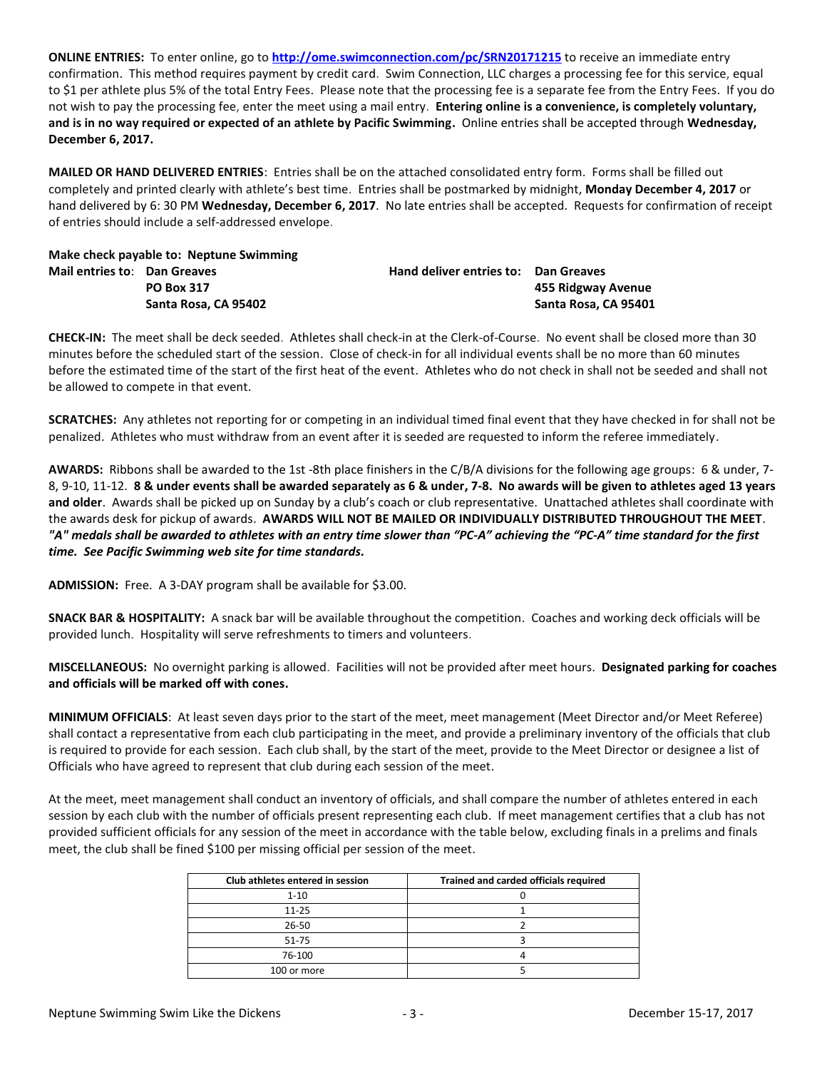**ONLINE ENTRIES:** To enter online, go to **<http://ome.swimconnection.com/pc/SRN20171215>** to receive an immediate entry confirmation. This method requires payment by credit card. Swim Connection, LLC charges a processing fee for this service, equal to \$1 per athlete plus 5% of the total Entry Fees. Please note that the processing fee is a separate fee from the Entry Fees. If you do not wish to pay the processing fee, enter the meet using a mail entry. **Entering online is a convenience, is completely voluntary, and is in no way required or expected of an athlete by Pacific Swimming.** Online entries shall be accepted through **Wednesday, December 6, 2017.**

**MAILED OR HAND DELIVERED ENTRIES**: Entries shall be on the attached consolidated entry form. Forms shall be filled out completely and printed clearly with athlete's best time. Entries shall be postmarked by midnight, **Monday December 4, 2017** or hand delivered by 6: 30 PM **Wednesday, December 6, 2017**. No late entries shall be accepted. Requests for confirmation of receipt of entries should include a self-addressed envelope.

**Make check payable to: Neptune Swimming Mail entries to**: **Dan Greaves Hand deliver entries to: Dan Greaves**

**PO Box 317 455 Ridgway Avenue Santa Rosa, CA 95402 Santa Rosa, CA 95401**

**CHECK-IN:** The meet shall be deck seeded. Athletes shall check-in at the Clerk-of-Course. No event shall be closed more than 30 minutes before the scheduled start of the session. Close of check-in for all individual events shall be no more than 60 minutes before the estimated time of the start of the first heat of the event. Athletes who do not check in shall not be seeded and shall not be allowed to compete in that event.

**SCRATCHES:** Any athletes not reporting for or competing in an individual timed final event that they have checked in for shall not be penalized. Athletes who must withdraw from an event after it is seeded are requested to inform the referee immediately.

**AWARDS:** Ribbons shall be awarded to the 1st -8th place finishers in the C/B/A divisions for the following age groups: 6 & under, 7- 8, 9-10, 11-12. **8 & under events shall be awarded separately as 6 & under, 7-8. No awards will be given to athletes aged 13 years and older**. Awards shall be picked up on Sunday by a club's coach or club representative. Unattached athletes shall coordinate with the awards desk for pickup of awards. **AWARDS WILL NOT BE MAILED OR INDIVIDUALLY DISTRIBUTED THROUGHOUT THE MEET**. *"A" medals shall be awarded to athletes with an entry time slower than "PC-A" achieving the "PC-A" time standard for the first time. See Pacific Swimming web site for time standards.*

**ADMISSION:** Free. A 3-DAY program shall be available for \$3.00.

**SNACK BAR & HOSPITALITY:** A snack bar will be available throughout the competition. Coaches and working deck officials will be provided lunch. Hospitality will serve refreshments to timers and volunteers.

**MISCELLANEOUS:** No overnight parking is allowed. Facilities will not be provided after meet hours. **Designated parking for coaches and officials will be marked off with cones.**

**MINIMUM OFFICIALS**: At least seven days prior to the start of the meet, meet management (Meet Director and/or Meet Referee) shall contact a representative from each club participating in the meet, and provide a preliminary inventory of the officials that club is required to provide for each session. Each club shall, by the start of the meet, provide to the Meet Director or designee a list of Officials who have agreed to represent that club during each session of the meet.

At the meet, meet management shall conduct an inventory of officials, and shall compare the number of athletes entered in each session by each club with the number of officials present representing each club. If meet management certifies that a club has not provided sufficient officials for any session of the meet in accordance with the table below, excluding finals in a prelims and finals meet, the club shall be fined \$100 per missing official per session of the meet.

| Club athletes entered in session | Trained and carded officials required |
|----------------------------------|---------------------------------------|
| $1 - 10$                         |                                       |
| $11 - 25$                        |                                       |
| 26-50                            |                                       |
| 51-75                            |                                       |
| 76-100                           |                                       |
| 100 or more                      |                                       |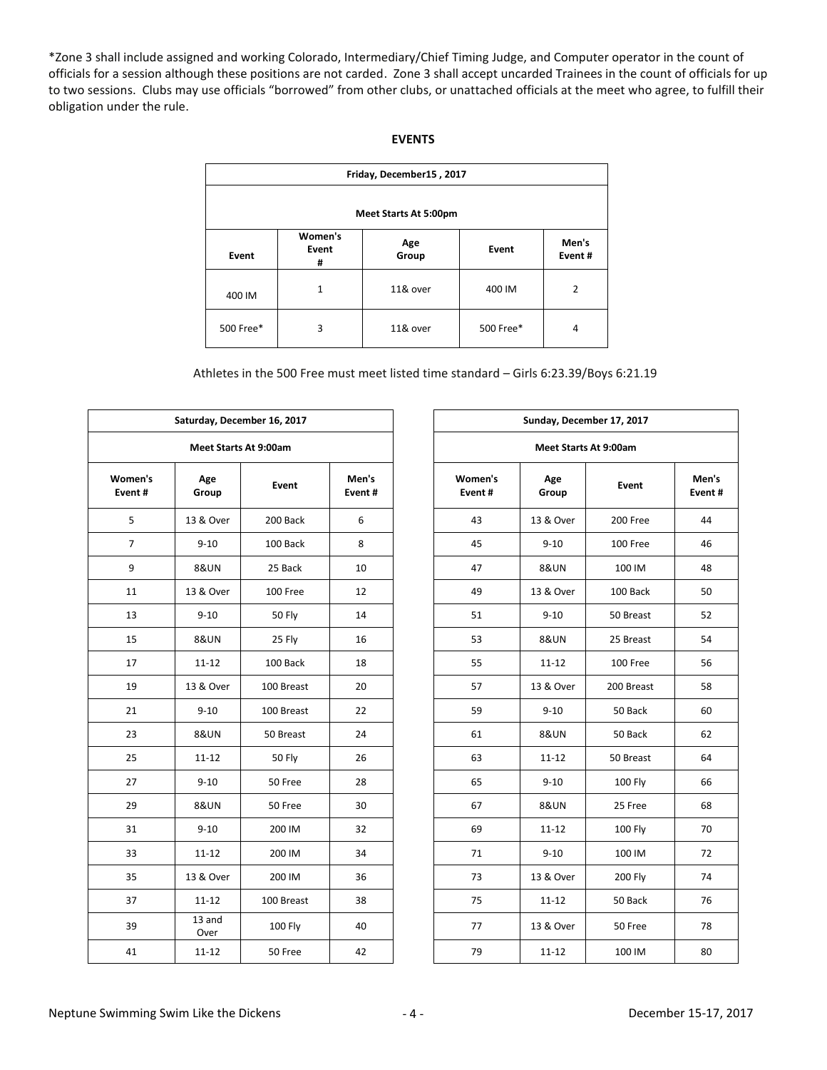\*Zone 3 shall include assigned and working Colorado, Intermediary/Chief Timing Judge, and Computer operator in the count of officials for a session although these positions are not carded. Zone 3 shall accept uncarded Trainees in the count of officials for up to two sessions. Clubs may use officials "borrowed" from other clubs, or unattached officials at the meet who agree, to fulfill their obligation under the rule.

| Friday, December15, 2017 |                       |              |           |                 |  |  |  |  |  |
|--------------------------|-----------------------|--------------|-----------|-----------------|--|--|--|--|--|
| Meet Starts At 5:00pm    |                       |              |           |                 |  |  |  |  |  |
| Event                    | Women's<br>Event<br># | Age<br>Group | Event     | Men's<br>Event# |  |  |  |  |  |
| 400 IM                   | $\mathbf{1}$          | 11& over     | 400 IM    | $\overline{2}$  |  |  |  |  |  |
| 500 Free*                | 3                     | 11& over     | 500 Free* | $\overline{4}$  |  |  |  |  |  |

| Athletes in the 500 Free must meet listed time standard - Girls 6:23.39/Boys 6:21.19 |  |
|--------------------------------------------------------------------------------------|--|
|--------------------------------------------------------------------------------------|--|

|                   |                              | Saturday, December 16, 2017  |                 |                       | Sunday, December 17, 2017 |              |  |
|-------------------|------------------------------|------------------------------|-----------------|-----------------------|---------------------------|--------------|--|
|                   |                              | <b>Meet Starts At 9:00am</b> |                 | Meet Starts At 9:00am |                           |              |  |
| Women's<br>Event# | Age<br><b>Event</b><br>Group |                              | Men's<br>Event# | Women's<br>Event#     | Age<br>Group              | <b>Event</b> |  |
| 5                 | 13 & Over                    | 200 Back                     | 6               | 43                    | 13 & Over                 | 200 Free     |  |
| $\overline{7}$    | $9 - 10$                     | 100 Back                     | 8               | 45                    | $9 - 10$                  | 100 Free     |  |
| 9                 | <b>8&amp;UN</b>              | 25 Back                      | 10              | 47                    | <b>8&amp;UN</b>           | 100 IM       |  |
| 11                | 13 & Over                    | 100 Free                     | 12              | 49                    | 13 & Over                 | 100 Back     |  |
| 13                | $9 - 10$                     | 50 Fly                       | 14              | 51                    | $9 - 10$                  | 50 Breas     |  |
| 15                | <b>8&amp;UN</b>              | 25 Fly                       | 16              | 53                    | <b>8&amp;UN</b>           | 25 Breas     |  |
| 17                | $11 - 12$                    | 100 Back                     | 18              | 55                    | $11 - 12$                 | 100 Free     |  |
| 19                | 13 & Over                    | 100 Breast                   | 20              | 57                    | 13 & Over                 | 200 Breas    |  |
| 21                | $9 - 10$                     | 100 Breast                   | 22              | 59                    | $9 - 10$                  | 50 Back      |  |
| 23                | <b>8&amp;UN</b>              | 50 Breast                    | 24              | 61                    | <b>8&amp;UN</b>           | 50 Back      |  |
| 25                | $11 - 12$                    | <b>50 Fly</b>                | 26              | 63                    | $11 - 12$                 | 50 Breas     |  |
| 27                | $9 - 10$                     | 50 Free                      | 28              | 65                    | $9 - 10$                  | 100 Fly      |  |
| 29                | <b>8&amp;UN</b>              | 50 Free                      | 30              | 67                    | <b>8&amp;UN</b>           | 25 Free      |  |
| 31                | $9 - 10$                     | 200 IM                       | 32              | 69                    | $11 - 12$                 | 100 Fly      |  |
| 33                | $11 - 12$                    | 200 IM                       | 34              | 71                    | $9 - 10$                  | 100 IM       |  |
| 35                | 13 & Over                    | 200 IM                       | 36              | 73                    | 13 & Over                 | 200 Fly      |  |
| 37                | $11 - 12$                    | 100 Breast                   | 38              | 75                    | $11 - 12$                 | 50 Back      |  |
| 39                | 13 and<br>Over               | 100 Fly                      | 40              | 77                    | 13 & Over                 | 50 Free      |  |
| 41                | $11 - 12$                    | 50 Free                      | 42              | 79                    | $11 - 12$                 | 100 IM       |  |
|                   |                              |                              |                 |                       |                           |              |  |

|                |                       | Saturday, December 16, 2017 |                 |                   |  | Sunday, December 17, 2017 |                |  |  |  |  |  |
|----------------|-----------------------|-----------------------------|-----------------|-------------------|--|---------------------------|----------------|--|--|--|--|--|
|                | Meet Starts At 9:00am |                             |                 |                   |  | Meet Starts At 9:00am     |                |  |  |  |  |  |
| men's<br>ent#  | Age<br>Group          | Event                       | Men's<br>Event# | Women's<br>Event# |  | Age<br>Group              | Event          |  |  |  |  |  |
| 5              | 13 & Over             | 200 Back                    | 6               | 43                |  | 13 & Over                 | 200 Free       |  |  |  |  |  |
| $\overline{7}$ | $9 - 10$              | 100 Back                    | 8               | 45                |  | $9 - 10$                  | 100 Free       |  |  |  |  |  |
| 9              | <b>8&amp;UN</b>       | 25 Back                     | 10              | 47                |  | <b>8&amp;UN</b>           | 100 IM         |  |  |  |  |  |
| 11             | 13 & Over             | 100 Free                    | 12              | 49                |  | 13 & Over                 | 100 Back       |  |  |  |  |  |
| 13             | $9 - 10$              | <b>50 Fly</b>               | 14              | 51                |  | $9 - 10$                  | 50 Breast      |  |  |  |  |  |
| 15             | <b>8&amp;UN</b>       | 25 Fly                      | 16              | 53                |  | <b>8&amp;UN</b>           | 25 Breast      |  |  |  |  |  |
| 17             | $11 - 12$             | 100 Back                    | 18              | 55                |  | $11 - 12$                 | 100 Free       |  |  |  |  |  |
| 19             | 13 & Over             | 100 Breast                  | 20              | 57                |  | 13 & Over                 | 200 Breast     |  |  |  |  |  |
| 21             | $9 - 10$              | 100 Breast                  | 22              | 59                |  | $9 - 10$                  | 50 Back        |  |  |  |  |  |
| 23             | <b>8&amp;UN</b>       | 50 Breast                   | 24              | 61                |  | <b>8&amp;UN</b>           | 50 Back        |  |  |  |  |  |
| 25             | $11 - 12$             | <b>50 Fly</b>               | 26              | 63                |  | $11 - 12$                 | 50 Breast      |  |  |  |  |  |
| 27             | $9 - 10$              | 50 Free                     | 28              | 65                |  | $9 - 10$                  | 100 Fly        |  |  |  |  |  |
| 29             | <b>8&amp;UN</b>       | 50 Free                     | 30              | 67                |  | <b>8&amp;UN</b>           | 25 Free        |  |  |  |  |  |
| 31             | $9 - 10$              | 200 IM                      | 32              | 69                |  | $11 - 12$                 | 100 Fly        |  |  |  |  |  |
| 33             | $11 - 12$             | 200 IM                      | 34              | 71                |  | $9 - 10$                  | 100 IM         |  |  |  |  |  |
| 35             | 13 & Over             | 200 IM                      | 36              | 73                |  | 13 & Over                 | <b>200 Fly</b> |  |  |  |  |  |
| 37             | $11 - 12$             | 100 Breast                  | 38              | 75                |  | $11 - 12$                 | 50 Back        |  |  |  |  |  |
| 39             | 13 and<br>Over        | 100 Fly                     | 40              | 77                |  | 13 & Over                 | 50 Free        |  |  |  |  |  |
| 41             | $11 - 12$             | 50 Free                     | 42              | 79                |  | $11 - 12$                 | 100 IM         |  |  |  |  |  |